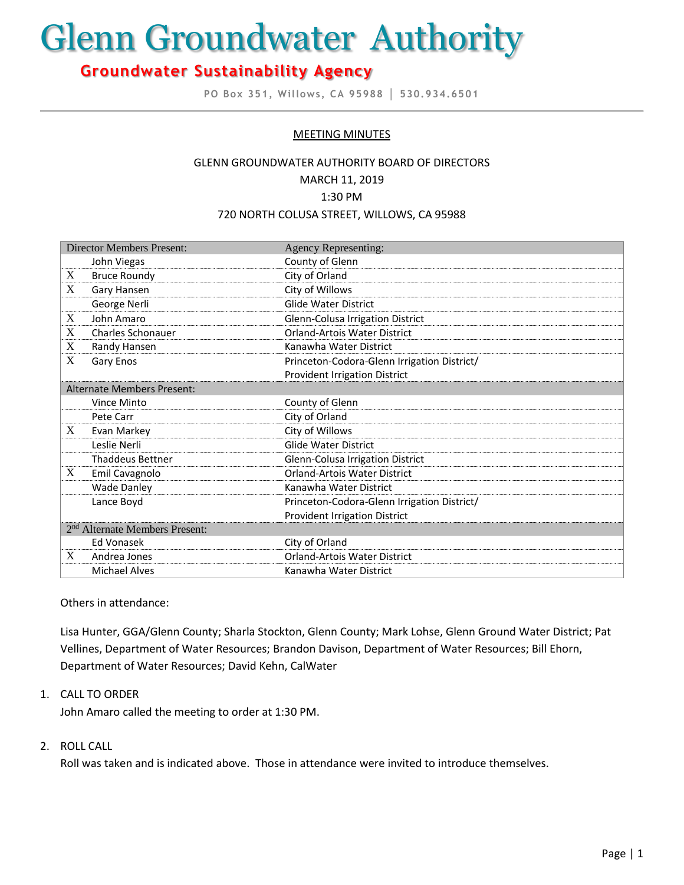# Glenn Groundwater Authority

# **Groundwater Sustainability Agency**

**PO Box 351, Willows, CA 95988 │ 530.934.6501**

#### MEETING MINUTES

## GLENN GROUNDWATER AUTHORITY BOARD OF DIRECTORS MARCH 11, 2019 1:30 PM 720 NORTH COLUSA STREET, WILLOWS, CA 95988

| <b>Director Members Present:</b>           |                          | <b>Agency Representing:</b>                 |
|--------------------------------------------|--------------------------|---------------------------------------------|
|                                            | John Viegas              | County of Glenn                             |
| X                                          | <b>Bruce Roundy</b>      | City of Orland                              |
| X                                          | Gary Hansen              | City of Willows                             |
|                                            | George Nerli             | <b>Glide Water District</b>                 |
| X                                          | John Amaro               | Glenn-Colusa Irrigation District            |
| X                                          | <b>Charles Schonauer</b> | <b>Orland-Artois Water District</b>         |
| X                                          | Randy Hansen             | Kanawha Water District                      |
| X                                          | Gary Enos                | Princeton-Codora-Glenn Irrigation District/ |
|                                            |                          | <b>Provident Irrigation District</b>        |
| <b>Alternate Members Present:</b>          |                          |                                             |
|                                            | Vince Minto              | County of Glenn                             |
|                                            | Pete Carr                | City of Orland                              |
| X                                          | Evan Markey              | City of Willows                             |
|                                            | Leslie Nerli             | <b>Glide Water District</b>                 |
|                                            | <b>Thaddeus Bettner</b>  | Glenn-Colusa Irrigation District            |
| X                                          | Emil Cavagnolo           | Orland-Artois Water District                |
|                                            | <b>Wade Danley</b>       | Kanawha Water District                      |
|                                            | Lance Boyd               | Princeton-Codora-Glenn Irrigation District/ |
|                                            |                          | <b>Provident Irrigation District</b>        |
| 2 <sup>nd</sup> Alternate Members Present: |                          |                                             |
|                                            | Ed Vonasek               | City of Orland                              |
| X                                          | Andrea Jones             | <b>Orland-Artois Water District</b>         |
|                                            | <b>Michael Alves</b>     | Kanawha Water District                      |

Others in attendance:

Lisa Hunter, GGA/Glenn County; Sharla Stockton, Glenn County; Mark Lohse, Glenn Ground Water District; Pat Vellines, Department of Water Resources; Brandon Davison, Department of Water Resources; Bill Ehorn, Department of Water Resources; David Kehn, CalWater

#### 1. CALL TO ORDER

John Amaro called the meeting to order at 1:30 PM.

#### 2. ROLL CALL

Roll was taken and is indicated above. Those in attendance were invited to introduce themselves.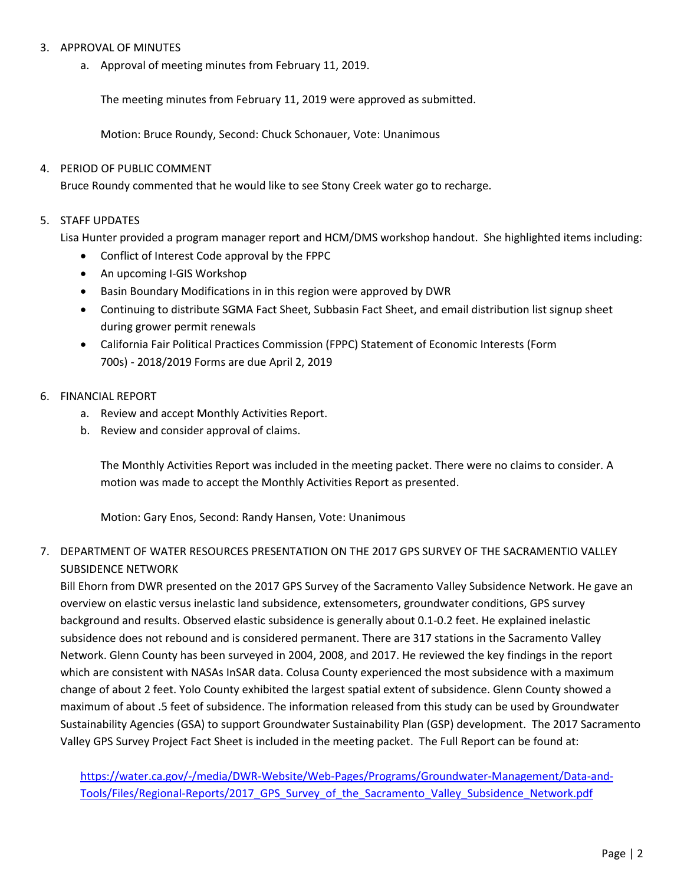#### 3. APPROVAL OF MINUTES

a. Approval of meeting minutes from February 11, 2019.

The meeting minutes from February 11, 2019 were approved as submitted.

Motion: Bruce Roundy, Second: Chuck Schonauer, Vote: Unanimous

#### 4. PERIOD OF PUBLIC COMMENT

Bruce Roundy commented that he would like to see Stony Creek water go to recharge.

#### 5. STAFF UPDATES

Lisa Hunter provided a program manager report and HCM/DMS workshop handout. She highlighted items including:

- Conflict of Interest Code approval by the FPPC
- An upcoming I-GIS Workshop
- **•** Basin Boundary Modifications in in this region were approved by DWR
- Continuing to distribute SGMA Fact Sheet, Subbasin Fact Sheet, and email distribution list signup sheet during grower permit renewals
- California Fair Political Practices Commission (FPPC) Statement of Economic Interests (Form 700s) - 2018/2019 Forms are due April 2, 2019
- 6. FINANCIAL REPORT
	- a. Review and accept Monthly Activities Report.
	- b. Review and consider approval of claims.

The Monthly Activities Report was included in the meeting packet. There were no claims to consider. A motion was made to accept the Monthly Activities Report as presented.

Motion: Gary Enos, Second: Randy Hansen, Vote: Unanimous

### 7. DEPARTMENT OF WATER RESOURCES PRESENTATION ON THE 2017 GPS SURVEY OF THE SACRAMENTIO VALLEY SUBSIDENCE NETWORK

Bill Ehorn from DWR presented on the 2017 GPS Survey of the Sacramento Valley Subsidence Network. He gave an overview on elastic versus inelastic land subsidence, extensometers, groundwater conditions, GPS survey background and results. Observed elastic subsidence is generally about 0.1-0.2 feet. He explained inelastic subsidence does not rebound and is considered permanent. There are 317 stations in the Sacramento Valley Network. Glenn County has been surveyed in 2004, 2008, and 2017. He reviewed the key findings in the report which are consistent with NASAs InSAR data. Colusa County experienced the most subsidence with a maximum change of about 2 feet. Yolo County exhibited the largest spatial extent of subsidence. Glenn County showed a maximum of about .5 feet of subsidence. The information released from this study can be used by Groundwater Sustainability Agencies (GSA) to support Groundwater Sustainability Plan (GSP) development. The 2017 Sacramento Valley GPS Survey Project Fact Sheet is included in the meeting packet. The Full Report can be found at:

[https://water.ca.gov/-/media/DWR-Website/Web-Pages/Programs/Groundwater-Management/Data-and-](https://water.ca.gov/-/media/DWR-Website/Web-Pages/Programs/Groundwater-Management/Data-and-Tools/Files/Regional-Reports/2017_GPS_Survey_of_the_Sacramento_Valley_Subsidence_Network.pdf)[Tools/Files/Regional-Reports/2017\\_GPS\\_Survey\\_of\\_the\\_Sacramento\\_Valley\\_Subsidence\\_Network.pdf](https://water.ca.gov/-/media/DWR-Website/Web-Pages/Programs/Groundwater-Management/Data-and-Tools/Files/Regional-Reports/2017_GPS_Survey_of_the_Sacramento_Valley_Subsidence_Network.pdf)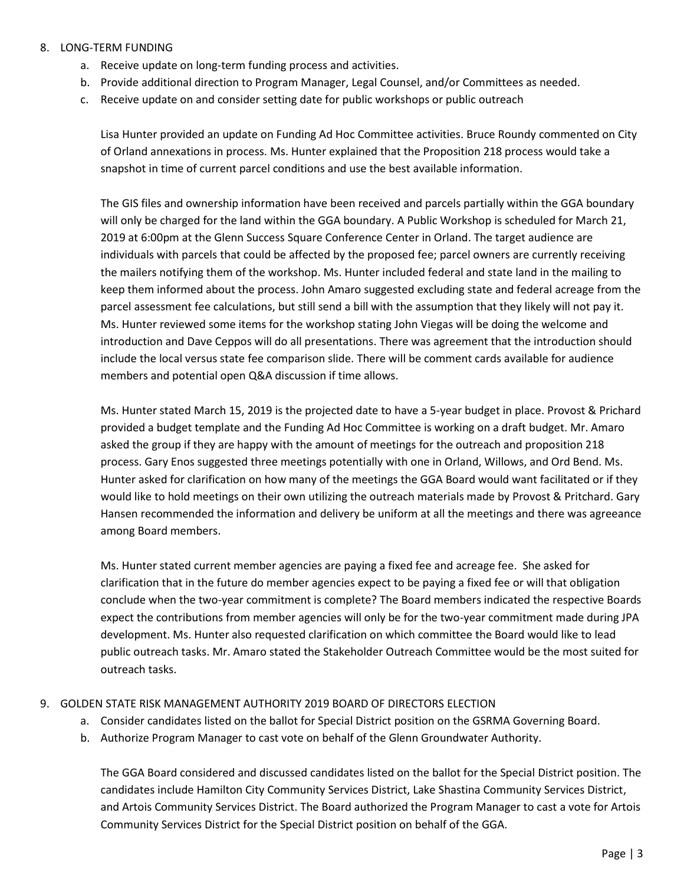#### 8. LONG-TERM FUNDING

- a. Receive update on long-term funding process and activities.
- b. Provide additional direction to Program Manager, Legal Counsel, and/or Committees as needed.
- c. Receive update on and consider setting date for public workshops or public outreach

Lisa Hunter provided an update on Funding Ad Hoc Committee activities. Bruce Roundy commented on City of Orland annexations in process. Ms. Hunter explained that the Proposition 218 process would take a snapshot in time of current parcel conditions and use the best available information.

The GIS files and ownership information have been received and parcels partially within the GGA boundary will only be charged for the land within the GGA boundary. A Public Workshop is scheduled for March 21, 2019 at 6:00pm at the Glenn Success Square Conference Center in Orland. The target audience are individuals with parcels that could be affected by the proposed fee; parcel owners are currently receiving the mailers notifying them of the workshop. Ms. Hunter included federal and state land in the mailing to keep them informed about the process. John Amaro suggested excluding state and federal acreage from the parcel assessment fee calculations, but still send a bill with the assumption that they likely will not pay it. Ms. Hunter reviewed some items for the workshop stating John Viegas will be doing the welcome and introduction and Dave Ceppos will do all presentations. There was agreement that the introduction should include the local versus state fee comparison slide. There will be comment cards available for audience members and potential open Q&A discussion if time allows.

Ms. Hunter stated March 15, 2019 is the projected date to have a 5-year budget in place. Provost & Prichard provided a budget template and the Funding Ad Hoc Committee is working on a draft budget. Mr. Amaro asked the group if they are happy with the amount of meetings for the outreach and proposition 218 process. Gary Enos suggested three meetings potentially with one in Orland, Willows, and Ord Bend. Ms. Hunter asked for clarification on how many of the meetings the GGA Board would want facilitated or if they would like to hold meetings on their own utilizing the outreach materials made by Provost & Pritchard. Gary Hansen recommended the information and delivery be uniform at all the meetings and there was agreeance among Board members.

Ms. Hunter stated current member agencies are paying a fixed fee and acreage fee. She asked for clarification that in the future do member agencies expect to be paying a fixed fee or will that obligation conclude when the two-year commitment is complete? The Board members indicated the respective Boards expect the contributions from member agencies will only be for the two-year commitment made during JPA development. Ms. Hunter also requested clarification on which committee the Board would like to lead public outreach tasks. Mr. Amaro stated the Stakeholder Outreach Committee would be the most suited for outreach tasks.

#### 9. GOLDEN STATE RISK MANAGEMENT AUTHORITY 2019 BOARD OF DIRECTORS ELECTION

- a. Consider candidates listed on the ballot for Special District position on the GSRMA Governing Board.
- b. Authorize Program Manager to cast vote on behalf of the Glenn Groundwater Authority.

The GGA Board considered and discussed candidates listed on the ballot for the Special District position. The candidates include Hamilton City Community Services District, Lake Shastina Community Services District, and Artois Community Services District. The Board authorized the Program Manager to cast a vote for Artois Community Services District for the Special District position on behalf of the GGA.